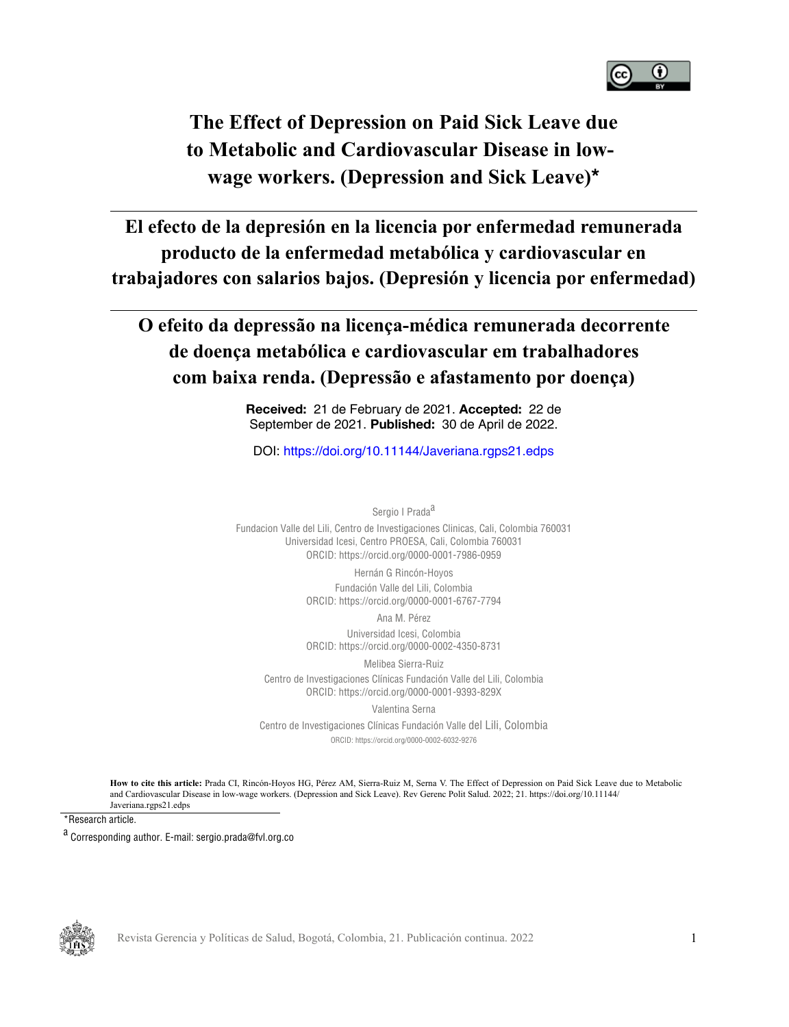

### **The Effect of Depression on Paid Sick Leave due to Metabolic and Cardiovascular Disease in lowwage workers. (Depression and Sick Leave)[\\*](#page-16-0)**

**El efecto de la depresión en la licencia por enfermedad remunerada producto de la enfermedad metabólica y cardiovascular en trabajadores con salarios bajos. (Depresión y licencia por enfermedad)**

### **O efeito da depressão na licença-médica remunerada decorrente de doença metabólica e cardiovascular em trabalhadores com baixa renda. (Depressão e afastamento por doença)**

**Received:** 21 de February de 2021. **Accepted:** 22 de September de 2021. **Published:** 30 de April de 2022.

DOI:<https://doi.org/10.11144/Javeriana.rgps21.edps>

Sergio I Prada<sup>a</sup>

Fundacion Valle del Lili, Centro de Investigaciones Clinicas, Cali, Colombia 760031 Universidad Icesi, Centro PROESA, Cali, Colombia 760031 ORCID: <https://orcid.org/0000-0001-7986-0959> Hernán G Rincón-Hoyos Fundación Valle del Lili, Colombia ORCID: <https://orcid.org/0000-0001-6767-7794> Ana M. Pérez Universidad Icesi, Colombia ORCID: <https://orcid.org/0000-0002-4350-8731> Melibea Sierra-Ruiz

Centro de Investigaciones Clínicas Fundación Valle del Lili, Colombia ORCID: <https://orcid.org/0000-0001-9393-829X>

Valentina Serna

Centro de Investigaciones Clínicas Fundación Valle del Lili, Colombia ORCID:<https://orcid.org/0000-0002-6032-9276>

<span id="page-0-0"></span>**How to cite this article:** Prada CI, Rincón-Hoyos HG, Pérez AM, Sierra-Ruiz M, Serna V. The Effect of Depression on Paid Sick Leave due to Metabolic and Cardiovascular Disease in low-wage workers. (Depression and Sick Leave). Rev Gerenc Polit Salud. 2022; 21. https://doi.org/10.11144/ Javeriana.rgps21.edps

\*Research article.



Revista Gerencia y Políticas de Salud, Bogotá, Colombia, 21. Publicación continua. 2022

a<br>Corresponding author. E-mail: sergio.prada@fvl.org.co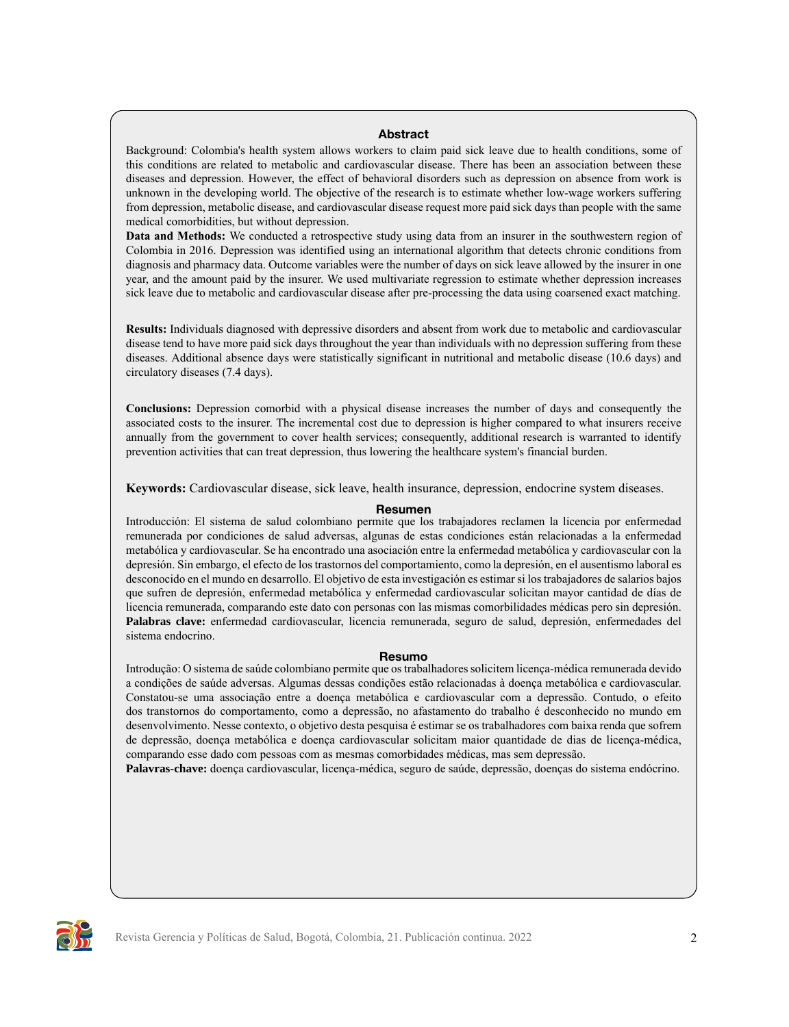#### **Abstract**

Background: Colombia's health system allows workers to claim paid sick leave due to health conditions, some of this conditions are related to metabolic and cardiovascular disease. There has been an association between these diseases and depression. However, the effect of behavioral disorders such as depression on absence from work is unknown in the developing world. The objective of the research is to estimate whether low-wage workers suffering from depression, metabolic disease, and cardiovascular disease request more paid sick days than people with the same medical comorbidities, but without depression.

**Data and Methods:** We conducted a retrospective study using data from an insurer in the southwestern region of Colombia in 2016. Depression was identified using an international algorithm that detects chronic conditions from diagnosis and pharmacy data. Outcome variables were the number of days on sick leave allowed by the insurer in one year, and the amount paid by the insurer. We used multivariate regression to estimate whether depression increases sick leave due to metabolic and cardiovascular disease after pre-processing the data using coarsened exact matching.

**Results:** Individuals diagnosed with depressive disorders and absent from work due to metabolic and cardiovascular disease tend to have more paid sick days throughout the year than individuals with no depression suffering from these diseases. Additional absence days were statistically significant in nutritional and metabolic disease (10.6 days) and circulatory diseases (7.4 days).

**Conclusions:** Depression comorbid with a physical disease increases the number of days and consequently the associated costs to the insurer. The incremental cost due to depression is higher compared to what insurers receive annually from the government to cover health services; consequently, additional research is warranted to identify prevention activities that can treat depression, thus lowering the healthcare system's financial burden.

**Keywords:** Cardiovascular disease, sick leave, health insurance, depression, endocrine system diseases.

#### **Resumen**

Introducción: El sistema de salud colombiano permite que los trabajadores reclamen la licencia por enfermedad remunerada por condiciones de salud adversas, algunas de estas condiciones están relacionadas a la enfermedad metabólica y cardiovascular. Se ha encontrado una asociación entre la enfermedad metabólica y cardiovascular con la depresión. Sin embargo, el efecto de los trastornos del comportamiento, como la depresión, en el ausentismo laboral es desconocido en el mundo en desarrollo. El objetivo de esta investigación es estimar si los trabajadores de salarios bajos que sufren de depresión, enfermedad metabólica y enfermedad cardiovascular solicitan mayor cantidad de días de licencia remunerada, comparando este dato con personas con las mismas comorbilidades médicas pero sin depresión. **Palabras clave:** enfermedad cardiovascular, licencia remunerada, seguro de salud, depresión, enfermedades del sistema endocrino.

#### **Resumo**

Introdução: O sistema de saúde colombiano permite que os trabalhadores solicitem licença-médica remunerada devido a condições de saúde adversas. Algumas dessas condições estão relacionadas à doença metabólica e cardiovascular. Constatou-se uma associação entre a doença metabólica e cardiovascular com a depressão. Contudo, o efeito dos transtornos do comportamento, como a depressão, no afastamento do trabalho é desconhecido no mundo em desenvolvimento. Nesse contexto, o objetivo desta pesquisa é estimar se os trabalhadores com baixa renda que sofrem de depressão, doença metabólica e doença cardiovascular solicitam maior quantidade de dias de licença-médica, comparando esse dado com pessoas com as mesmas comorbidades médicas, mas sem depressão.

**Palavras-chave:** doença cardiovascular, licença-médica, seguro de saúde, depressão, doenças do sistema endócrino.

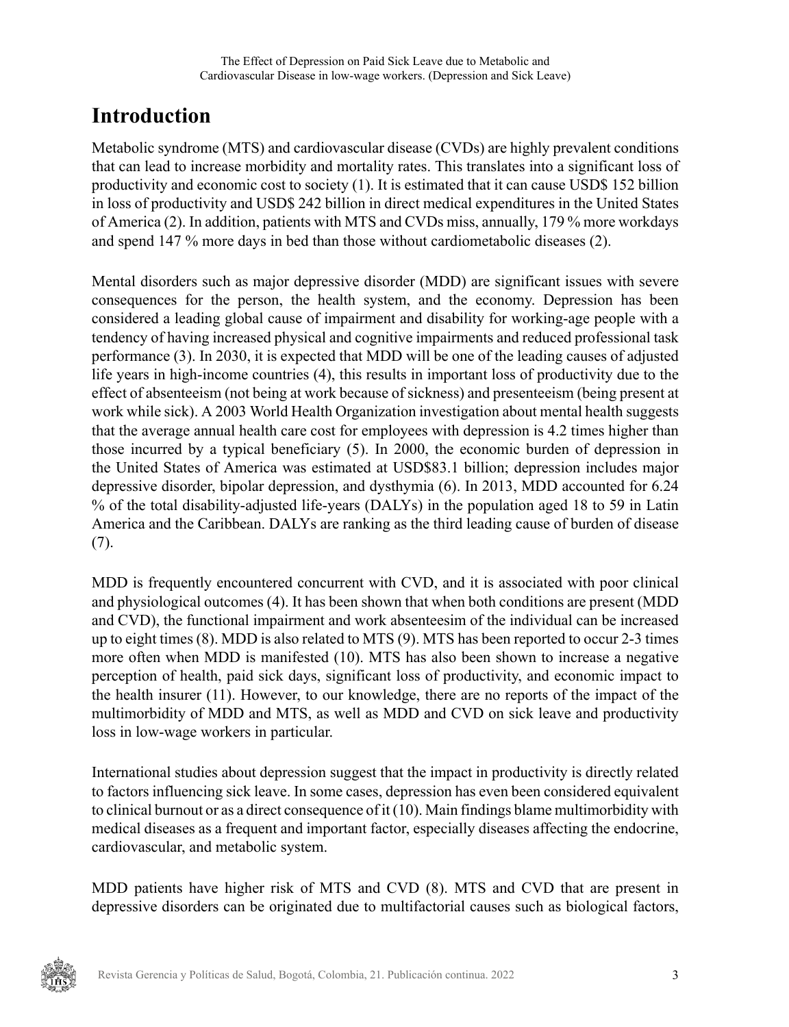## **Introduction**

Metabolic syndrome (MTS) and cardiovascular disease (CVDs) are highly prevalent conditions that can lead to increase morbidity and mortality rates. This translates into a significant loss of productivity and economic cost to society [\(1](#page-13-0)). It is estimated that it can cause USD\$ 152 billion in loss of productivity and USD\$ 242 billion in direct medical expenditures in the United States of America ([2\)](#page-13-1). In addition, patients with MTS and CVDs miss, annually, 179 % more workdays and spend 147 % more days in bed than those without cardiometabolic diseases [\(2](#page-13-1)).

Mental disorders such as major depressive disorder (MDD) are significant issues with severe consequences for the person, the health system, and the economy. Depression has been considered a leading global cause of impairment and disability for working-age people with a tendency of having increased physical and cognitive impairments and reduced professional task performance [\(3](#page-13-2)). In 2030, it is expected that MDD will be one of the leading causes of adjusted life years in high-income countries [\(4](#page-13-3)), this results in important loss of productivity due to the effect of absenteeism (not being at work because of sickness) and presenteeism (being present at work while sick). A 2003 World Health Organization investigation about mental health suggests that the average annual health care cost for employees with depression is 4.2 times higher than those incurred by a typical beneficiary ([5\)](#page-13-4). In 2000, the economic burden of depression in the United States of America was estimated at USD\$83.1 billion; depression includes major depressive disorder, bipolar depression, and dysthymia ([6\)](#page-13-5). In 2013, MDD accounted for 6.24 % of the total disability-adjusted life-years (DALYs) in the population aged 18 to 59 in Latin America and the Caribbean. DALYs are ranking as the third leading cause of burden of disease ([7\)](#page-13-6).

MDD is frequently encountered concurrent with CVD, and it is associated with poor clinical and physiological outcomes [\(4](#page-13-3)). It has been shown that when both conditions are present (MDD and CVD), the functional impairment and work absenteesim of the individual can be increased up to eight times ([8\)](#page-13-7). MDD is also related to MTS [\(9](#page-13-8)). MTS has been reported to occur 2-3 times more often when MDD is manifested [\(10](#page-13-9)). MTS has also been shown to increase a negative perception of health, paid sick days, significant loss of productivity, and economic impact to the health insurer [\(11\)](#page-13-10). However, to our knowledge, there are no reports of the impact of the multimorbidity of MDD and MTS, as well as MDD and CVD on sick leave and productivity loss in low-wage workers in particular.

International studies about depression suggest that the impact in productivity is directly related to factors influencing sick leave. In some cases, depression has even been considered equivalent to clinical burnout or as a direct consequence of it [\(10](#page-13-9)). Main findings blame multimorbidity with medical diseases as a frequent and important factor, especially diseases affecting the endocrine, cardiovascular, and metabolic system.

MDD patients have higher risk of MTS and CVD [\(8](#page-13-7)). MTS and CVD that are present in depressive disorders can be originated due to multifactorial causes such as biological factors,

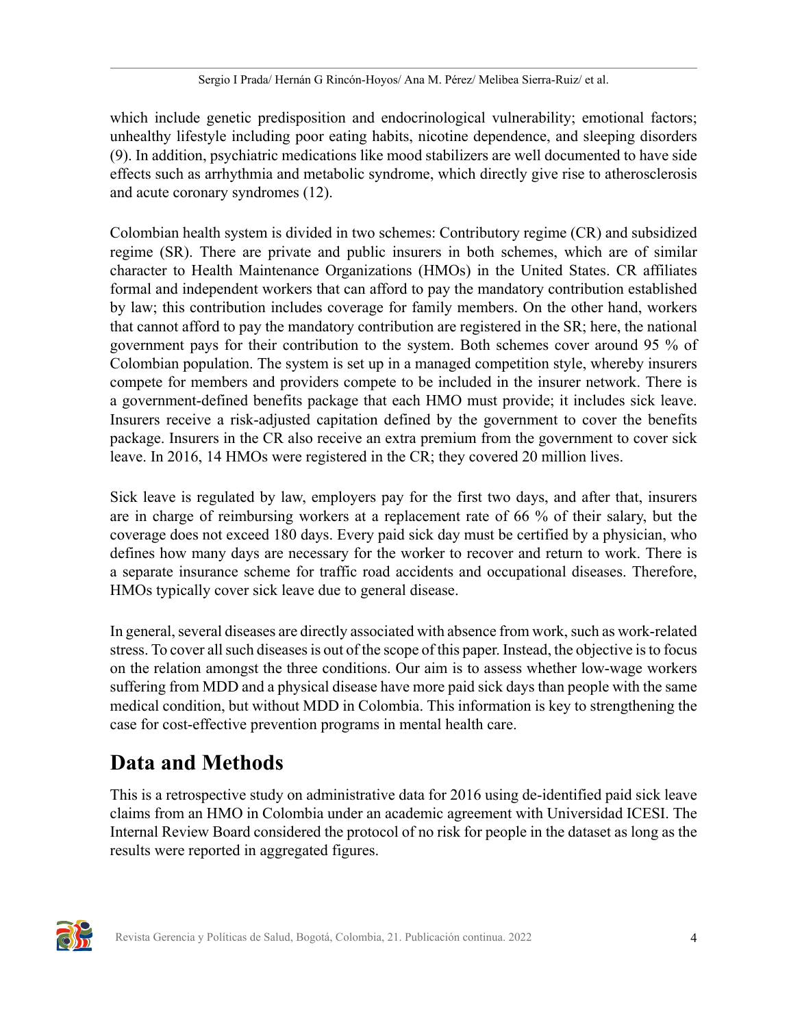which include genetic predisposition and endocrinological vulnerability; emotional factors; unhealthy lifestyle including poor eating habits, nicotine dependence, and sleeping disorders [\(9](#page-13-8)). In addition, psychiatric medications like mood stabilizers are well documented to have side effects such as arrhythmia and metabolic syndrome, which directly give rise to atherosclerosis and acute coronary syndromes [\(12](#page-14-0)).

Colombian health system is divided in two schemes: Contributory regime (CR) and subsidized regime (SR). There are private and public insurers in both schemes, which are of similar character to Health Maintenance Organizations (HMOs) in the United States. CR affiliates formal and independent workers that can afford to pay the mandatory contribution established by law; this contribution includes coverage for family members. On the other hand, workers that cannot afford to pay the mandatory contribution are registered in the SR; here, the national government pays for their contribution to the system. Both schemes cover around 95 % of Colombian population. The system is set up in a managed competition style, whereby insurers compete for members and providers compete to be included in the insurer network. There is a government-defined benefits package that each HMO must provide; it includes sick leave. Insurers receive a risk-adjusted capitation defined by the government to cover the benefits package. Insurers in the CR also receive an extra premium from the government to cover sick leave. In 2016, 14 HMOs were registered in the CR; they covered 20 million lives.

Sick leave is regulated by law, employers pay for the first two days, and after that, insurers are in charge of reimbursing workers at a replacement rate of 66 % of their salary, but the coverage does not exceed 180 days. Every paid sick day must be certified by a physician, who defines how many days are necessary for the worker to recover and return to work. There is a separate insurance scheme for traffic road accidents and occupational diseases. Therefore, HMOs typically cover sick leave due to general disease.

In general, several diseases are directly associated with absence from work, such as work-related stress. To cover all such diseases is out of the scope of this paper. Instead, the objective is to focus on the relation amongst the three conditions. Our aim is to assess whether low-wage workers suffering from MDD and a physical disease have more paid sick days than people with the same medical condition, but without MDD in Colombia. This information is key to strengthening the case for cost-effective prevention programs in mental health care.

## **Data and Methods**

This is a retrospective study on administrative data for 2016 using de-identified paid sick leave claims from an HMO in Colombia under an academic agreement with Universidad ICESI. The Internal Review Board considered the protocol of no risk for people in the dataset as long as the results were reported in aggregated figures.

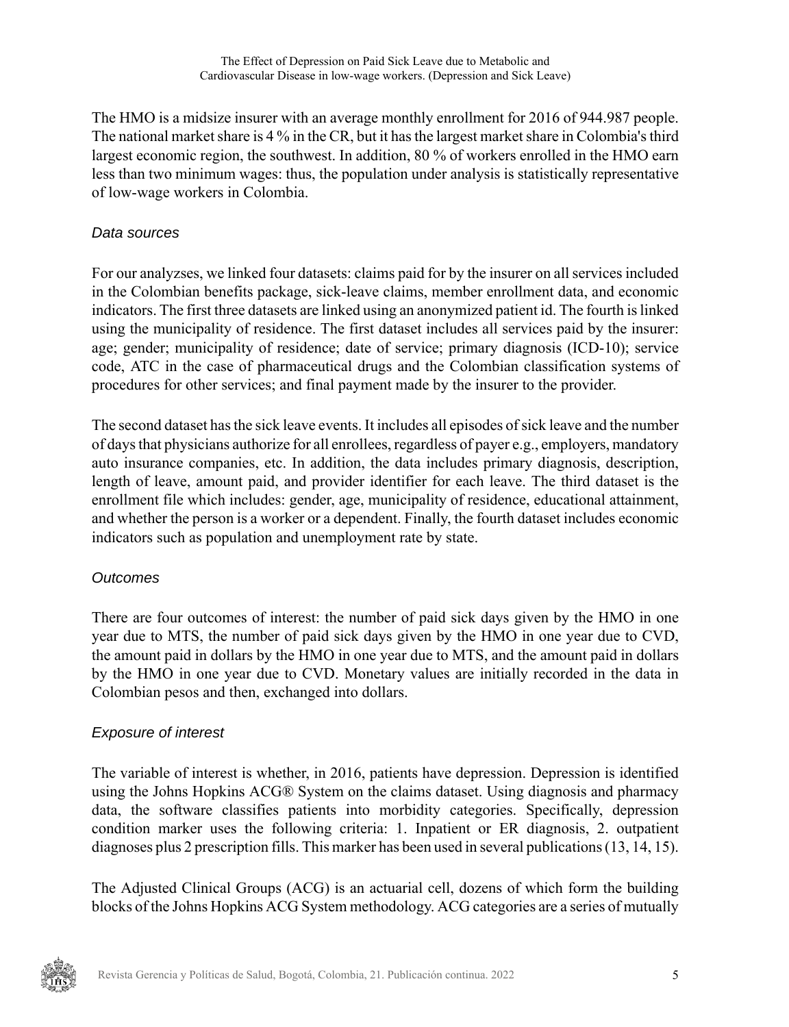The HMO is a midsize insurer with an average monthly enrollment for 2016 of 944.987 people. The national market share is 4 % in the CR, but it has the largest market share in Colombia's third largest economic region, the southwest. In addition, 80 % of workers enrolled in the HMO earn less than two minimum wages: thus, the population under analysis is statistically representative of low-wage workers in Colombia.

#### Data sources

For our analyzses, we linked four datasets: claims paid for by the insurer on all services included in the Colombian benefits package, sick-leave claims, member enrollment data, and economic indicators. The first three datasets are linked using an anonymized patient id. The fourth is linked using the municipality of residence. The first dataset includes all services paid by the insurer: age; gender; municipality of residence; date of service; primary diagnosis (ICD-10); service code, ATC in the case of pharmaceutical drugs and the Colombian classification systems of procedures for other services; and final payment made by the insurer to the provider.

The second dataset has the sick leave events. It includes all episodes of sick leave and the number of days that physicians authorize for all enrollees, regardless of payer e.g., employers, mandatory auto insurance companies, etc. In addition, the data includes primary diagnosis, description, length of leave, amount paid, and provider identifier for each leave. The third dataset is the enrollment file which includes: gender, age, municipality of residence, educational attainment, and whether the person is a worker or a dependent. Finally, the fourth dataset includes economic indicators such as population and unemployment rate by state.

#### **Outcomes**

There are four outcomes of interest: the number of paid sick days given by the HMO in one year due to MTS, the number of paid sick days given by the HMO in one year due to CVD, the amount paid in dollars by the HMO in one year due to MTS, and the amount paid in dollars by the HMO in one year due to CVD. Monetary values are initially recorded in the data in Colombian pesos and then, exchanged into dollars.

#### Exposure of interest

The variable of interest is whether, in 2016, patients have depression. Depression is identified using the Johns Hopkins ACG® System on the claims dataset. Using diagnosis and pharmacy data, the software classifies patients into morbidity categories. Specifically, depression condition marker uses the following criteria: 1. Inpatient or ER diagnosis, 2. outpatient diagnoses plus 2 prescription fills. This marker has been used in several publications [\(13](#page-14-1)[, 14](#page-14-2)[, 15](#page-14-3)).

The Adjusted Clinical Groups (ACG) is an actuarial cell, dozens of which form the building blocks of the Johns Hopkins ACG System methodology. ACG categories are a series of mutually

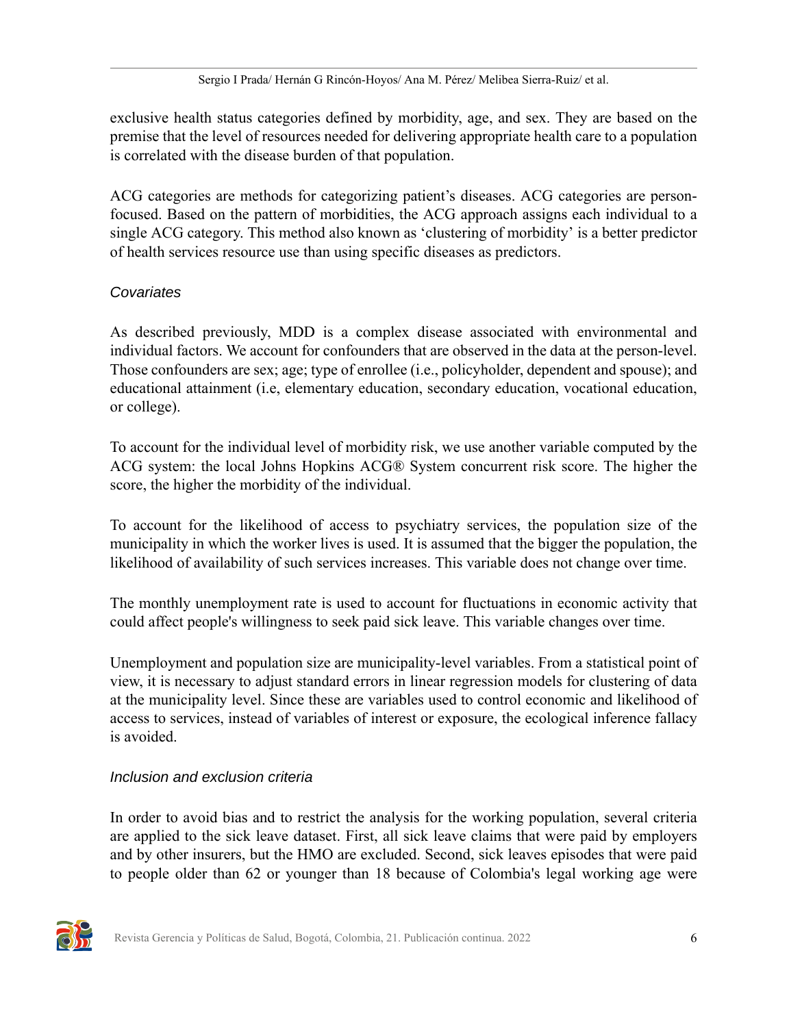exclusive health status categories defined by morbidity, age, and sex. They are based on the premise that the level of resources needed for delivering appropriate health care to a population is correlated with the disease burden of that population.

ACG categories are methods for categorizing patient's diseases. ACG categories are personfocused. Based on the pattern of morbidities, the ACG approach assigns each individual to a single ACG category. This method also known as 'clustering of morbidity' is a better predictor of health services resource use than using specific diseases as predictors.

#### **Covariates**

As described previously, MDD is a complex disease associated with environmental and individual factors. We account for confounders that are observed in the data at the person-level. Those confounders are sex; age; type of enrollee (i.e., policyholder, dependent and spouse); and educational attainment (i.e, elementary education, secondary education, vocational education, or college).

To account for the individual level of morbidity risk, we use another variable computed by the ACG system: the local Johns Hopkins ACG® System concurrent risk score. The higher the score, the higher the morbidity of the individual.

To account for the likelihood of access to psychiatry services, the population size of the municipality in which the worker lives is used. It is assumed that the bigger the population, the likelihood of availability of such services increases. This variable does not change over time.

The monthly unemployment rate is used to account for fluctuations in economic activity that could affect people's willingness to seek paid sick leave. This variable changes over time.

Unemployment and population size are municipality-level variables. From a statistical point of view, it is necessary to adjust standard errors in linear regression models for clustering of data at the municipality level. Since these are variables used to control economic and likelihood of access to services, instead of variables of interest or exposure, the ecological inference fallacy is avoided.

#### Inclusion and exclusion criteria

In order to avoid bias and to restrict the analysis for the working population, several criteria are applied to the sick leave dataset. First, all sick leave claims that were paid by employers and by other insurers, but the HMO are excluded. Second, sick leaves episodes that were paid to people older than 62 or younger than 18 because of Colombia's legal working age were

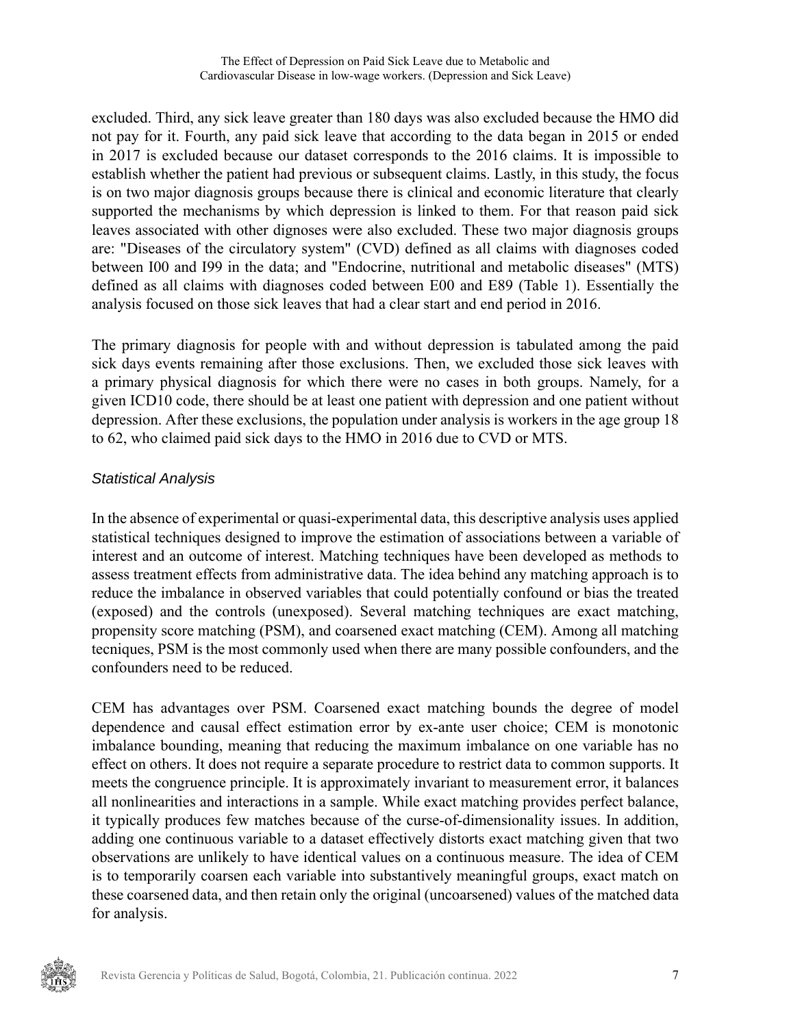The Effect of Depression on Paid Sick Leave due to Metabolic and Cardiovascular Disease in low-wage workers. (Depression and Sick Leave)

excluded. Third, any sick leave greater than 180 days was also excluded because the HMO did not pay for it. Fourth, any paid sick leave that according to the data began in 2015 or ended in 2017 is excluded because our dataset corresponds to the 2016 claims. It is impossible to establish whether the patient had previous or subsequent claims. Lastly, in this study, the focus is on two major diagnosis groups because there is clinical and economic literature that clearly supported the mechanisms by which depression is linked to them. For that reason paid sick leaves associated with other dignoses were also excluded. These two major diagnosis groups are: "Diseases of the circulatory system" (CVD) defined as all claims with diagnoses coded between I00 and I99 in the data; and "Endocrine, nutritional and metabolic diseases" (MTS) defined as all claims with diagnoses coded between E00 and E89 ([Table 1\)](#page-8-0). Essentially the analysis focused on those sick leaves that had a clear start and end period in 2016.

The primary diagnosis for people with and without depression is tabulated among the paid sick days events remaining after those exclusions. Then, we excluded those sick leaves with a primary physical diagnosis for which there were no cases in both groups. Namely, for a given ICD10 code, there should be at least one patient with depression and one patient without depression. After these exclusions, the population under analysis is workers in the age group 18 to 62, who claimed paid sick days to the HMO in 2016 due to CVD or MTS.

#### Statistical Analysis

In the absence of experimental or quasi-experimental data, this descriptive analysis uses applied statistical techniques designed to improve the estimation of associations between a variable of interest and an outcome of interest. Matching techniques have been developed as methods to assess treatment effects from administrative data. The idea behind any matching approach is to reduce the imbalance in observed variables that could potentially confound or bias the treated (exposed) and the controls (unexposed). Several matching techniques are exact matching, propensity score matching (PSM), and coarsened exact matching (CEM). Among all matching tecniques, PSM is the most commonly used when there are many possible confounders, and the confounders need to be reduced.

CEM has advantages over PSM. Coarsened exact matching bounds the degree of model dependence and causal effect estimation error by ex-ante user choice; CEM is monotonic imbalance bounding, meaning that reducing the maximum imbalance on one variable has no effect on others. It does not require a separate procedure to restrict data to common supports. It meets the congruence principle. It is approximately invariant to measurement error, it balances all nonlinearities and interactions in a sample. While exact matching provides perfect balance, it typically produces few matches because of the curse-of-dimensionality issues. In addition, adding one continuous variable to a dataset effectively distorts exact matching given that two observations are unlikely to have identical values on a continuous measure. The idea of CEM is to temporarily coarsen each variable into substantively meaningful groups, exact match on these coarsened data, and then retain only the original (uncoarsened) values of the matched data for analysis.

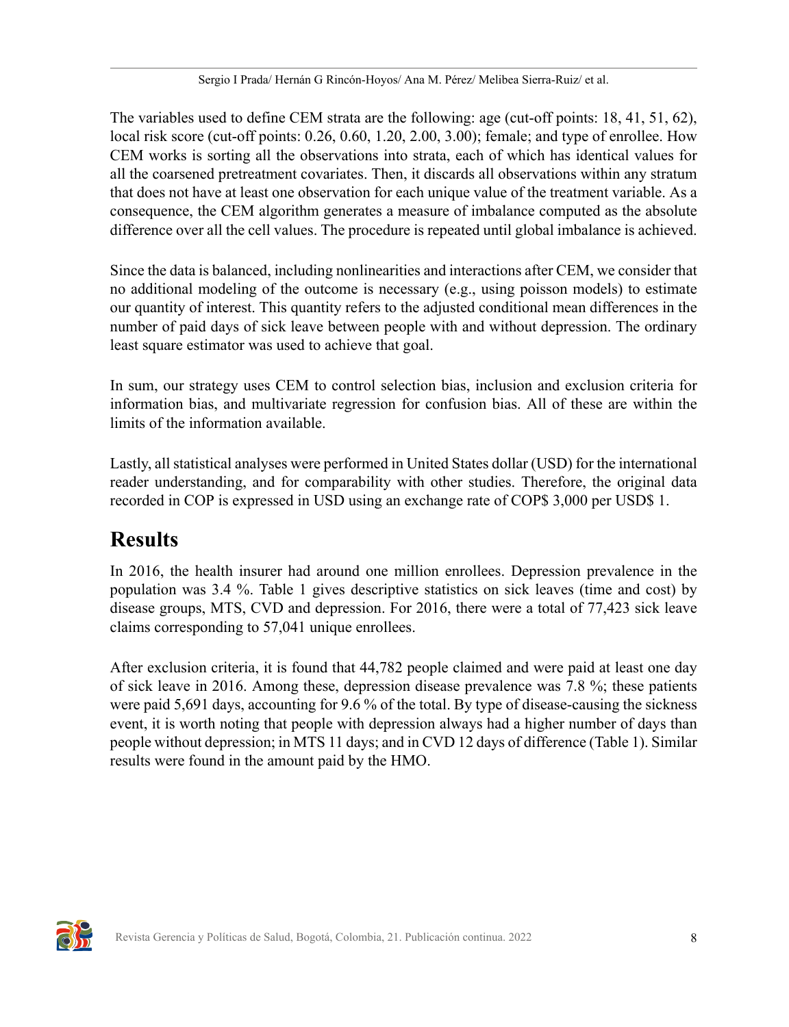The variables used to define CEM strata are the following: age (cut-off points: 18, 41, 51, 62), local risk score (cut-off points: 0.26, 0.60, 1.20, 2.00, 3.00); female; and type of enrollee. How CEM works is sorting all the observations into strata, each of which has identical values for all the coarsened pretreatment covariates. Then, it discards all observations within any stratum that does not have at least one observation for each unique value of the treatment variable. As a consequence, the CEM algorithm generates a measure of imbalance computed as the absolute difference over all the cell values. The procedure is repeated until global imbalance is achieved.

Since the data is balanced, including nonlinearities and interactions after CEM, we consider that no additional modeling of the outcome is necessary (e.g., using poisson models) to estimate our quantity of interest. This quantity refers to the adjusted conditional mean differences in the number of paid days of sick leave between people with and without depression. The ordinary least square estimator was used to achieve that goal.

In sum, our strategy uses CEM to control selection bias, inclusion and exclusion criteria for information bias, and multivariate regression for confusion bias. All of these are within the limits of the information available.

Lastly, all statistical analyses were performed in United States dollar (USD) for the international reader understanding, and for comparability with other studies. Therefore, the original data recorded in COP is expressed in USD using an exchange rate of COP\$ 3,000 per USD\$ 1.

## **Results**

In 2016, the health insurer had around one million enrollees. Depression prevalence in the population was 3.4 %. [Table 1](#page-8-0) gives descriptive statistics on sick leaves (time and cost) by disease groups, MTS, CVD and depression. For 2016, there were a total of 77,423 sick leave claims corresponding to 57,041 unique enrollees.

After exclusion criteria, it is found that 44,782 people claimed and were paid at least one day of sick leave in 2016. Among these, depression disease prevalence was 7.8 %; these patients were paid 5,691 days, accounting for 9.6 % of the total. By type of disease-causing the sickness event, it is worth noting that people with depression always had a higher number of days than people without depression; in MTS 11 days; and in CVD 12 days of difference [\(Table 1](#page-8-0)). Similar results were found in the amount paid by the HMO.

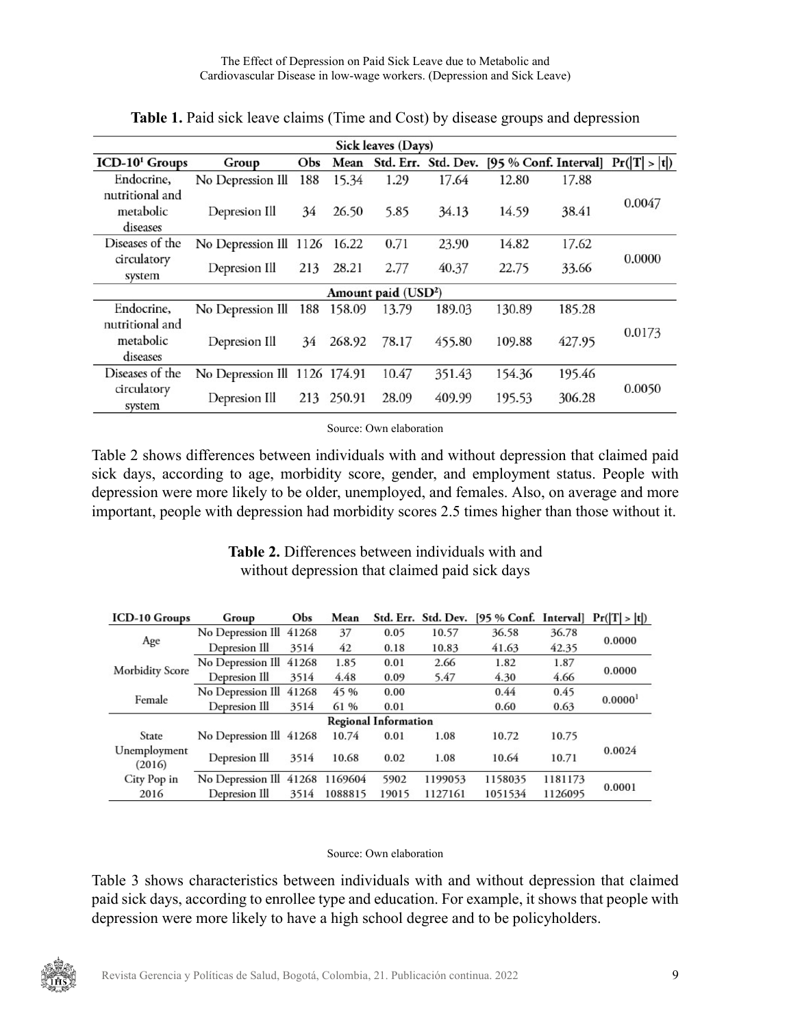<span id="page-8-0"></span>

| Sick leaves (Days)                       |                               |     |        |       |                     |        |        |                                       |  |
|------------------------------------------|-------------------------------|-----|--------|-------|---------------------|--------|--------|---------------------------------------|--|
| ICD-10 <sup>1</sup> Groups               | Group                         | Obs | Mean   |       | Std. Err. Std. Dev. |        |        | [95 % Conf. Interval] $Pr( T  >  t )$ |  |
| Endocrine,                               | No Depression Ill             | 188 | 15.34  | 1.29  | 17.64               | 12.80  | 17.88  |                                       |  |
| nutritional and<br>metabolic<br>diseases | Depresion Ill                 | 34  | 26.50  | 5.85  | 34.13               | 14.59  | 38.41  | 0.0047                                |  |
| Diseases of the                          | No Depression Ill 1126        |     | 16.22  | 0.71  | 23.90               | 14.82  | 17.62  |                                       |  |
| circulatory<br>system                    | Depresion Ill                 | 213 | 28.21  | 2.77  | 40.37               | 22.75  | 33.66  | 0.0000                                |  |
| Amount paid (USD <sup>2</sup> )          |                               |     |        |       |                     |        |        |                                       |  |
| Endocrine,                               | No Depression Ill             | 188 | 158.09 | 13.79 | 189.03              | 130.89 | 185.28 |                                       |  |
| nutritional and<br>metabolic<br>diseases | Depresion Ill                 | 34  | 268.92 | 78.17 | 455.80              | 109.88 | 427.95 | 0.0173                                |  |
| Diseases of the                          | No Depression Ill 1126 174.91 |     |        | 10.47 | 351.43              | 154.36 | 195.46 |                                       |  |
| circulatory<br>system                    | Depresion Ill                 | 213 | 250.91 | 28.09 | 409.99              | 195.53 | 306.28 | 0.0050                                |  |

**Table 1.** Paid sick leave claims (Time and Cost) by disease groups and depression

Source: Own elaboration

[Table 2](#page-8-1) shows differences between individuals with and without depression that claimed paid sick days, according to age, morbidity score, gender, and employment status. People with depression were more likely to be older, unemployed, and females. Also, on average and more important, people with depression had morbidity scores 2.5 times higher than those without it.

> **Table 2.** Differences between individuals with and without depression that claimed paid sick days

<span id="page-8-1"></span>

| <b>ICD-10 Groups</b>        | Group                           | Obs  | Mean    |       |         | Std. Err. Std. Dev. [95 % Conf. Interval] $Pr( T  >  t )$ |         |                     |  |
|-----------------------------|---------------------------------|------|---------|-------|---------|-----------------------------------------------------------|---------|---------------------|--|
| Age                         | No Depression Ill 41268         |      | 37      | 0.05  | 10.57   | 36.58                                                     | 36.78   | 0.0000              |  |
|                             | Depresion Ill                   | 3514 | 42      | 0.18  | 10.83   | 41.63                                                     | 42.35   |                     |  |
| Morbidity Score             | No Depression Ill 41268         |      | 1.85    | 0.01  | 2.66    | 1.82                                                      | 1.87    |                     |  |
|                             | Depresion Ill                   | 3514 | 4.48    | 0.09  | 5.47    | 4.30                                                      | 4.66    | 0.0000              |  |
| Female                      | No Depression Ill 41268         |      | 45 %    | 0.00  |         | 0.44                                                      | 0.45    | 0.0000 <sup>1</sup> |  |
|                             | Depresion Ill                   | 3514 | 61 %    | 0.01  |         | 0.60                                                      | 0.63    |                     |  |
| <b>Regional Information</b> |                                 |      |         |       |         |                                                           |         |                     |  |
| State                       | No Depression Ill 41268         |      | 10.74   | 0.01  | 1.08    | 10.72                                                     | 10.75   |                     |  |
| Unemployment<br>(2016)      | Depresion Ill                   | 3514 | 10.68   | 0.02  | 1.08    | 10.64                                                     | 10.71   | 0.0024              |  |
| City Pop in                 | No Depression Ill 41268 1169604 |      |         | 5902  | 1199053 | 1158035                                                   | 1181173 | 0.0001              |  |
| 2016                        | Depresion Ill                   | 3514 | 1088815 | 19015 | 1127161 | 1051534                                                   | 1126095 |                     |  |

#### Source: Own elaboration

[Table 3](#page-9-0) shows characteristics between individuals with and without depression that claimed paid sick days, according to enrollee type and education. For example, it shows that people with depression were more likely to have a high school degree and to be policyholders.

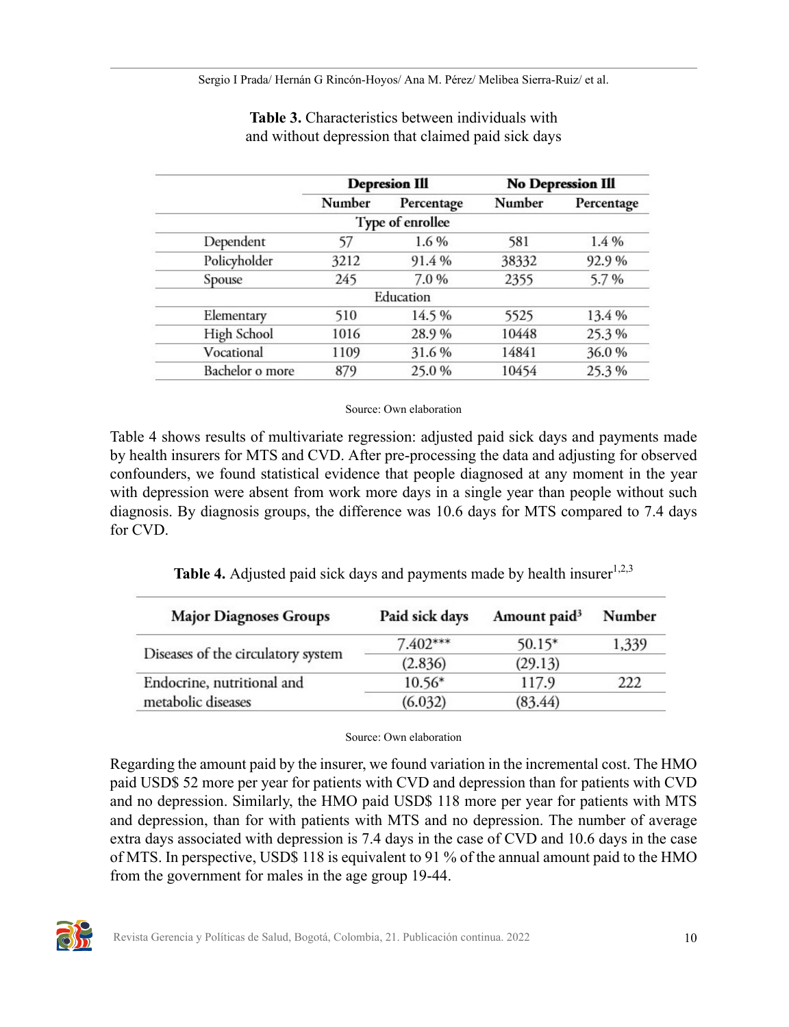Sergio I Prada/ Hernán G Rincón-Hoyos/ Ana M. Pérez/ Melibea Sierra-Ruiz/ et al.

<span id="page-9-0"></span>

|        |            | <b>No Depression Ill</b>                              |            |  |
|--------|------------|-------------------------------------------------------|------------|--|
| Number | Percentage | Number                                                | Percentage |  |
|        |            |                                                       |            |  |
| 57     | 1.6%       | 581                                                   | 1.4%       |  |
| 3212   | 91.4%      | 38332                                                 | 92.9%      |  |
| 245    | 7.0%       | 2355                                                  | 5.7%       |  |
|        |            |                                                       |            |  |
| 510    | 14.5%      | 5525                                                  | 13.4 %     |  |
| 1016   | 28.9%      | 10448                                                 | 25.3%      |  |
| 1109   | 31.6%      | 14841                                                 | 36.0%      |  |
| 879    | 25.0%      | 10454                                                 | 25.3%      |  |
|        |            | <b>Depresion Ill</b><br>Type of enrollee<br>Education |            |  |

**Table 3.** Characteristics between individuals with and without depression that claimed paid sick days

#### Source: Own elaboration

[Table 4 s](#page-9-1)hows results of multivariate regression: adjusted paid sick days and payments made by health insurers for MTS and CVD. After pre-processing the data and adjusting for observed confounders, we found statistical evidence that people diagnosed at any moment in the year with depression were absent from work more days in a single year than people without such diagnosis. By diagnosis groups, the difference was 10.6 days for MTS compared to 7.4 days for CVD.

| Table 4. Adjusted paid sick days and payments made by health insurer <sup>1,2,3</sup> |  |  |  |
|---------------------------------------------------------------------------------------|--|--|--|
|                                                                                       |  |  |  |

<span id="page-9-1"></span>

| <b>Major Diagnoses Groups</b>      | Paid sick days | Amount paid <sup>3</sup> | Number |  |
|------------------------------------|----------------|--------------------------|--------|--|
|                                    | $7.402***$     | $50.15*$                 | 1,339  |  |
| Diseases of the circulatory system | (2.836)        | (29.13)                  |        |  |
| Endocrine, nutritional and         | $10.56*$       | 117.9                    | 222    |  |
| metabolic diseases                 | (6.032)        | (83.44)                  |        |  |

#### Source: Own elaboration

Regarding the amount paid by the insurer, we found variation in the incremental cost. The HMO paid USD\$ 52 more per year for patients with CVD and depression than for patients with CVD and no depression. Similarly, the HMO paid USD\$ 118 more per year for patients with MTS and depression, than for with patients with MTS and no depression. The number of average extra days associated with depression is 7.4 days in the case of CVD and 10.6 days in the case of MTS. In perspective, USD\$ 118 is equivalent to 91 % of the annual amount paid to the HMO from the government for males in the age group 19-44.

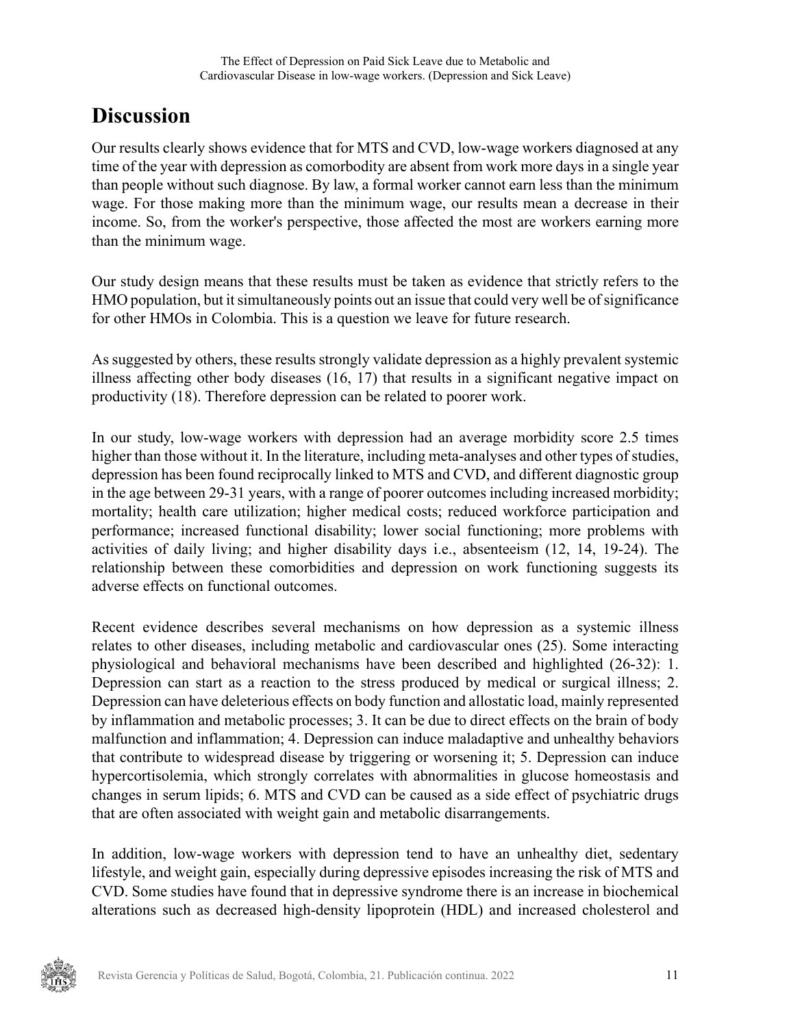### **Discussion**

Our results clearly shows evidence that for MTS and CVD, low-wage workers diagnosed at any time of the year with depression as comorbodity are absent from work more days in a single year than people without such diagnose. By law, a formal worker cannot earn less than the minimum wage. For those making more than the minimum wage, our results mean a decrease in their income. So, from the worker's perspective, those affected the most are workers earning more than the minimum wage.

Our study design means that these results must be taken as evidence that strictly refers to the HMO population, but it simultaneously points out an issue that could very well be of significance for other HMOs in Colombia. This is a question we leave for future research.

As suggested by others, these results strongly validate depression as a highly prevalent systemic illness affecting other body diseases [\(16](#page-14-4), [17\)](#page-14-5) that results in a significant negative impact on productivity [\(18](#page-14-6)). Therefore depression can be related to poorer work.

In our study, low-wage workers with depression had an average morbidity score 2.5 times higher than those without it. In the literature, including meta-analyses and other types of studies, depression has been found reciprocally linked to MTS and CVD, and different diagnostic group in the age between 29-31 years, with a range of poorer outcomes including increased morbidity; mortality; health care utilization; higher medical costs; reduced workforce participation and performance; increased functional disability; lower social functioning; more problems with activities of daily living; and higher disability days i.e., absenteeism [\(12](#page-14-0), [14,](#page-14-2) [19-](#page-14-7)[24\)](#page-14-8). The relationship between these comorbidities and depression on work functioning suggests its adverse effects on functional outcomes.

Recent evidence describes several mechanisms on how depression as a systemic illness relates to other diseases, including metabolic and cardiovascular ones [\(25](#page-15-0)). Some interacting physiological and behavioral mechanisms have been described and highlighted [\(26](#page-15-1)[-32](#page-15-2)): 1. Depression can start as a reaction to the stress produced by medical or surgical illness; 2. Depression can have deleterious effects on body function and allostatic load, mainly represented by inflammation and metabolic processes; 3. It can be due to direct effects on the brain of body malfunction and inflammation; 4. Depression can induce maladaptive and unhealthy behaviors that contribute to widespread disease by triggering or worsening it; 5. Depression can induce hypercortisolemia, which strongly correlates with abnormalities in glucose homeostasis and changes in serum lipids; 6. MTS and CVD can be caused as a side effect of psychiatric drugs that are often associated with weight gain and metabolic disarrangements.

In addition, low-wage workers with depression tend to have an unhealthy diet, sedentary lifestyle, and weight gain, especially during depressive episodes increasing the risk of MTS and CVD. Some studies have found that in depressive syndrome there is an increase in biochemical alterations such as decreased high-density lipoprotein (HDL) and increased cholesterol and

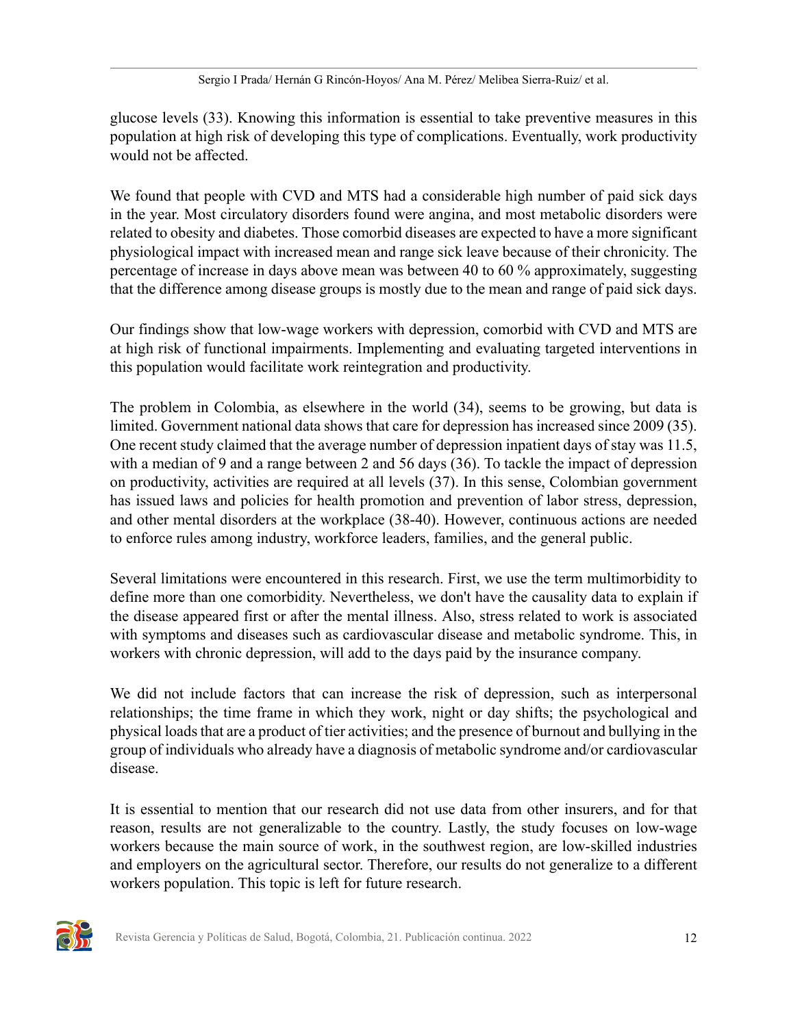glucose levels ([33\)](#page-15-3). Knowing this information is essential to take preventive measures in this population at high risk of developing this type of complications. Eventually, work productivity would not be affected.

We found that people with CVD and MTS had a considerable high number of paid sick days in the year. Most circulatory disorders found were angina, and most metabolic disorders were related to obesity and diabetes. Those comorbid diseases are expected to have a more significant physiological impact with increased mean and range sick leave because of their chronicity. The percentage of increase in days above mean was between 40 to 60 % approximately, suggesting that the difference among disease groups is mostly due to the mean and range of paid sick days.

Our findings show that low-wage workers with depression, comorbid with CVD and MTS are at high risk of functional impairments. Implementing and evaluating targeted interventions in this population would facilitate work reintegration and productivity.

The problem in Colombia, as elsewhere in the world [\(34](#page-15-4)), seems to be growing, but data is limited. Government national data shows that care for depression has increased since 2009 ([35\)](#page-15-5). One recent study claimed that the average number of depression inpatient days of stay was 11.5, with a median of 9 and a range between 2 and 56 days [\(36](#page-15-6)). To tackle the impact of depression on productivity, activities are required at all levels ([37\)](#page-16-1). In this sense, Colombian government has issued laws and policies for health promotion and prevention of labor stress, depression, and other mental disorders at the workplace ([38-](#page-16-2)[40\)](#page-16-3). However, continuous actions are needed to enforce rules among industry, workforce leaders, families, and the general public.

Several limitations were encountered in this research. First, we use the term multimorbidity to define more than one comorbidity. Nevertheless, we don't have the causality data to explain if the disease appeared first or after the mental illness. Also, stress related to work is associated with symptoms and diseases such as cardiovascular disease and metabolic syndrome. This, in workers with chronic depression, will add to the days paid by the insurance company.

We did not include factors that can increase the risk of depression, such as interpersonal relationships; the time frame in which they work, night or day shifts; the psychological and physical loads that are a product of tier activities; and the presence of burnout and bullying in the group of individuals who already have a diagnosis of metabolic syndrome and/or cardiovascular disease.

It is essential to mention that our research did not use data from other insurers, and for that reason, results are not generalizable to the country. Lastly, the study focuses on low-wage workers because the main source of work, in the southwest region, are low-skilled industries and employers on the agricultural sector. Therefore, our results do not generalize to a different workers population. This topic is left for future research.

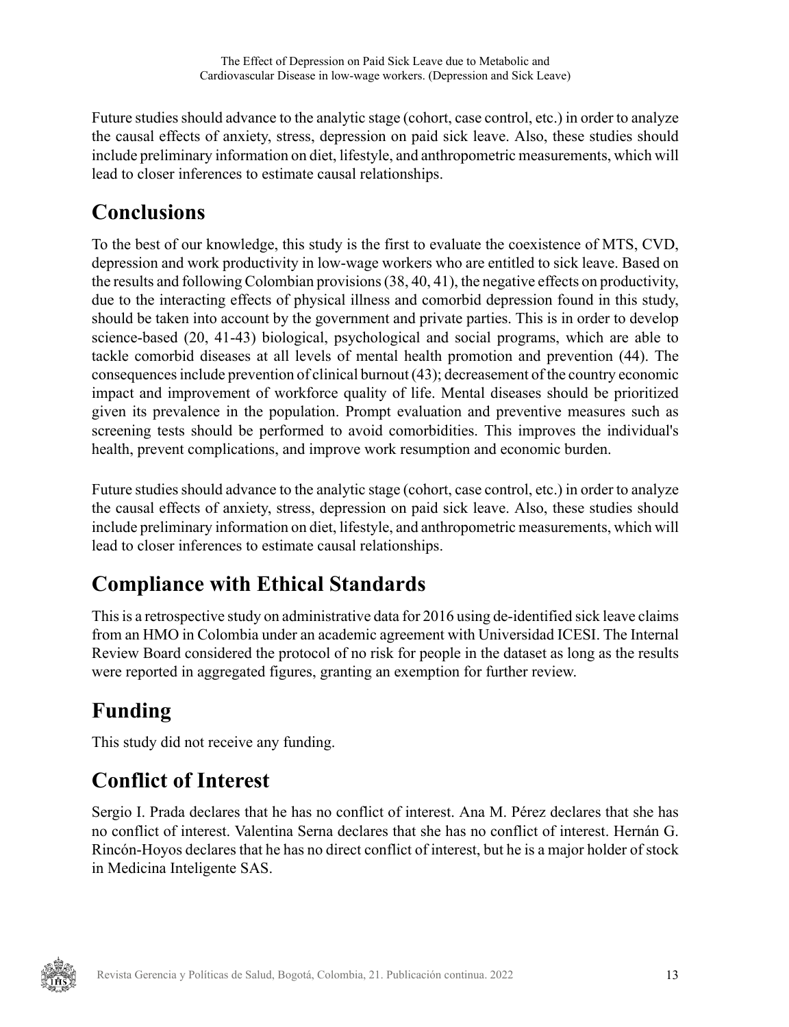Future studies should advance to the analytic stage (cohort, case control, etc.) in order to analyze the causal effects of anxiety, stress, depression on paid sick leave. Also, these studies should include preliminary information on diet, lifestyle, and anthropometric measurements, which will lead to closer inferences to estimate causal relationships.

## **Conclusions**

To the best of our knowledge, this study is the first to evaluate the coexistence of MTS, CVD, depression and work productivity in low-wage workers who are entitled to sick leave. Based on the results and following Colombian provisions ([38,](#page-16-2) [40,](#page-16-3) [41](#page-16-4)), the negative effects on productivity, due to the interacting effects of physical illness and comorbid depression found in this study, should be taken into account by the government and private parties. This is in order to develop science-based [\(20](#page-14-9)[, 41-](#page-16-4)[43\)](#page-16-5) biological, psychological and social programs, which are able to tackle comorbid diseases at all levels of mental health promotion and prevention [\(44](#page-16-6)). The consequences include prevention of clinical burnout ([43\)](#page-16-5); decreasement of the country economic impact and improvement of workforce quality of life. Mental diseases should be prioritized given its prevalence in the population. Prompt evaluation and preventive measures such as screening tests should be performed to avoid comorbidities. This improves the individual's health, prevent complications, and improve work resumption and economic burden.

Future studies should advance to the analytic stage (cohort, case control, etc.) in order to analyze the causal effects of anxiety, stress, depression on paid sick leave. Also, these studies should include preliminary information on diet, lifestyle, and anthropometric measurements, which will lead to closer inferences to estimate causal relationships.

# **Compliance with Ethical Standards**

This is a retrospective study on administrative data for 2016 using de-identified sick leave claims from an HMO in Colombia under an academic agreement with Universidad ICESI. The Internal Review Board considered the protocol of no risk for people in the dataset as long as the results were reported in aggregated figures, granting an exemption for further review.

# **Funding**

This study did not receive any funding.

# **Conflict of Interest**

Sergio I. Prada declares that he has no conflict of interest. Ana M. Pérez declares that she has no conflict of interest. Valentina Serna declares that she has no conflict of interest. Hernán G. Rincón-Hoyos declares that he has no direct conflict of interest, but he is a major holder of stock in Medicina Inteligente SAS.

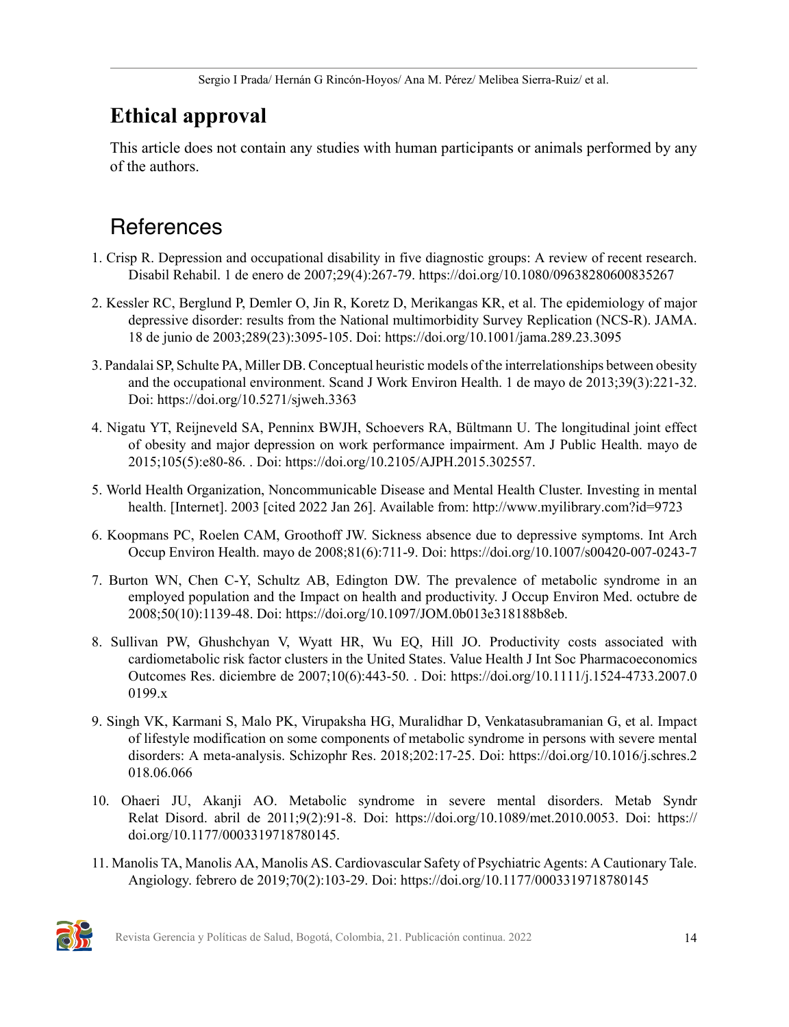## **Ethical approval**

This article does not contain any studies with human participants or animals performed by any of the authors.

## **References**

- <span id="page-13-0"></span>1. Crisp R. Depression and occupational disability in five diagnostic groups: A review of recent research. Disabil Rehabil. 1 de enero de 2007;29(4):267-79. https://doi.org/10.1080/09638280600835267
- <span id="page-13-1"></span>2. Kessler RC, Berglund P, Demler O, Jin R, Koretz D, Merikangas KR, et al. The epidemiology of major depressive disorder: results from the National multimorbidity Survey Replication (NCS-R). JAMA. 18 de junio de 2003;289(23):3095-105. Doi: https://doi.org/10.1001/jama.289.23.3095
- <span id="page-13-2"></span>3. Pandalai SP, Schulte PA, Miller DB. Conceptual heuristic models of the interrelationships between obesity and the occupational environment. Scand J Work Environ Health. 1 de mayo de 2013;39(3):221-32. Doi: https://doi.org/10.5271/sjweh.3363
- <span id="page-13-3"></span>4. Nigatu YT, Reijneveld SA, Penninx BWJH, Schoevers RA, Bültmann U. The longitudinal joint effect of obesity and major depression on work performance impairment. Am J Public Health. mayo de 2015;105(5):e80-86. . Doi: https://doi.org/10.2105/AJPH.2015.302557.
- <span id="page-13-4"></span>5. World Health Organization, Noncommunicable Disease and Mental Health Cluster. Investing in mental health. [Internet]. 2003 [cited 2022 Jan 26]. Available from: http://www.myilibrary.com?id=9723
- <span id="page-13-5"></span>6. Koopmans PC, Roelen CAM, Groothoff JW. Sickness absence due to depressive symptoms. Int Arch Occup Environ Health. mayo de 2008;81(6):711-9. Doi: https://doi.org/10.1007/s00420-007-0243-7
- <span id="page-13-6"></span>7. Burton WN, Chen C-Y, Schultz AB, Edington DW. The prevalence of metabolic syndrome in an employed population and the Impact on health and productivity. J Occup Environ Med. octubre de 2008;50(10):1139-48. Doi: https://doi.org/10.1097/JOM.0b013e318188b8eb.
- <span id="page-13-7"></span>8. Sullivan PW, Ghushchyan V, Wyatt HR, Wu EQ, Hill JO. Productivity costs associated with cardiometabolic risk factor clusters in the United States. Value Health J Int Soc Pharmacoeconomics Outcomes Res. diciembre de 2007;10(6):443-50. . Doi: https://doi.org/10.1111/j.1524-4733.2007.0 0199.x
- <span id="page-13-8"></span>9. Singh VK, Karmani S, Malo PK, Virupaksha HG, Muralidhar D, Venkatasubramanian G, et al. Impact of lifestyle modification on some components of metabolic syndrome in persons with severe mental disorders: A meta-analysis. Schizophr Res. 2018;202:17-25. Doi: https://doi.org/10.1016/j.schres.2 018.06.066
- <span id="page-13-9"></span>10. Ohaeri JU, Akanji AO. Metabolic syndrome in severe mental disorders. Metab Syndr Relat Disord. abril de 2011;9(2):91-8. Doi: https://doi.org/10.1089/met.2010.0053. Doi: https:// doi.org/10.1177/0003319718780145.
- <span id="page-13-10"></span>11. Manolis TA, Manolis AA, Manolis AS. Cardiovascular Safety of Psychiatric Agents: A Cautionary Tale. Angiology. febrero de 2019;70(2):103-29. Doi: https://doi.org/10.1177/0003319718780145

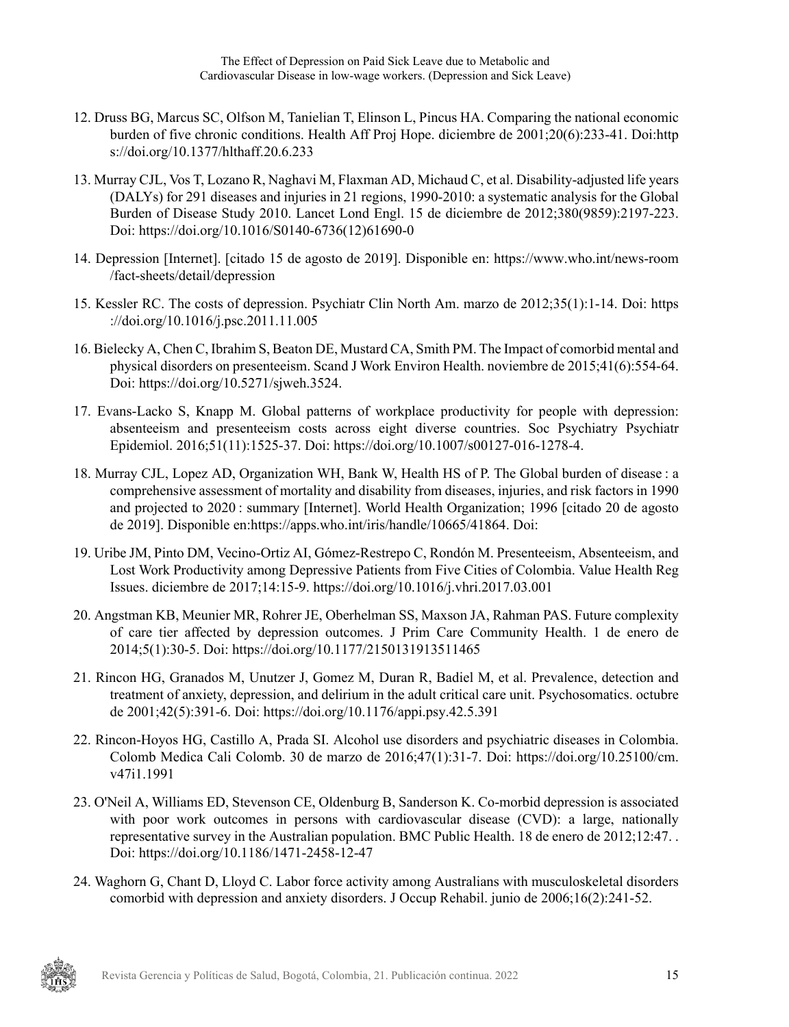- <span id="page-14-0"></span>12. Druss BG, Marcus SC, Olfson M, Tanielian T, Elinson L, Pincus HA. Comparing the national economic burden of five chronic conditions. Health Aff Proj Hope. diciembre de 2001;20(6):233-41. Doi:http s://doi.org/10.1377/hlthaff.20.6.233
- <span id="page-14-1"></span>13. Murray CJL, Vos T, Lozano R, Naghavi M, Flaxman AD, Michaud C, et al. Disability-adjusted life years (DALYs) for 291 diseases and injuries in 21 regions, 1990-2010: a systematic analysis for the Global Burden of Disease Study 2010. Lancet Lond Engl. 15 de diciembre de 2012;380(9859):2197-223. Doi: https://doi.org/10.1016/S0140-6736(12)61690-0
- <span id="page-14-2"></span>14. Depression [Internet]. [citado 15 de agosto de 2019]. Disponible en: https://www.who.int/news-room /fact-sheets/detail/depression
- <span id="page-14-3"></span>15. Kessler RC. The costs of depression. Psychiatr Clin North Am. marzo de 2012;35(1):1-14. Doi: https ://doi.org/10.1016/j.psc.2011.11.005
- <span id="page-14-4"></span>16. Bielecky A, Chen C, Ibrahim S, Beaton DE, Mustard CA, Smith PM. The Impact of comorbid mental and physical disorders on presenteeism. Scand J Work Environ Health. noviembre de 2015;41(6):554-64. Doi: https://doi.org/10.5271/sjweh.3524.
- <span id="page-14-5"></span>17. Evans-Lacko S, Knapp M. Global patterns of workplace productivity for people with depression: absenteeism and presenteeism costs across eight diverse countries. Soc Psychiatry Psychiatr Epidemiol. 2016;51(11):1525-37. Doi: https://doi.org/10.1007/s00127-016-1278-4.
- <span id="page-14-6"></span>18. Murray CJL, Lopez AD, Organization WH, Bank W, Health HS of P. The Global burden of disease : a comprehensive assessment of mortality and disability from diseases, injuries, and risk factors in 1990 and projected to 2020 : summary [Internet]. World Health Organization; 1996 [citado 20 de agosto de 2019]. Disponible en:https://apps.who.int/iris/handle/10665/41864. Doi:
- <span id="page-14-7"></span>19. Uribe JM, Pinto DM, Vecino-Ortiz AI, Gómez-Restrepo C, Rondón M. Presenteeism, Absenteeism, and Lost Work Productivity among Depressive Patients from Five Cities of Colombia. Value Health Reg Issues. diciembre de 2017;14:15-9. https://doi.org/10.1016/j.vhri.2017.03.001
- <span id="page-14-9"></span>20. Angstman KB, Meunier MR, Rohrer JE, Oberhelman SS, Maxson JA, Rahman PAS. Future complexity of care tier affected by depression outcomes. J Prim Care Community Health. 1 de enero de 2014;5(1):30-5. Doi: https://doi.org/10.1177/2150131913511465
- 21. Rincon HG, Granados M, Unutzer J, Gomez M, Duran R, Badiel M, et al. Prevalence, detection and treatment of anxiety, depression, and delirium in the adult critical care unit. Psychosomatics. octubre de 2001;42(5):391-6. Doi: https://doi.org/10.1176/appi.psy.42.5.391
- 22. Rincon-Hoyos HG, Castillo A, Prada SI. Alcohol use disorders and psychiatric diseases in Colombia. Colomb Medica Cali Colomb. 30 de marzo de 2016;47(1):31-7. Doi: https://doi.org/10.25100/cm. v47i1.1991
- 23. O'Neil A, Williams ED, Stevenson CE, Oldenburg B, Sanderson K. Co-morbid depression is associated with poor work outcomes in persons with cardiovascular disease (CVD): a large, nationally representative survey in the Australian population. BMC Public Health. 18 de enero de 2012;12:47. . Doi: https://doi.org/10.1186/1471-2458-12-47
- <span id="page-14-8"></span>24. Waghorn G, Chant D, Lloyd C. Labor force activity among Australians with musculoskeletal disorders comorbid with depression and anxiety disorders. J Occup Rehabil. junio de 2006;16(2):241-52.

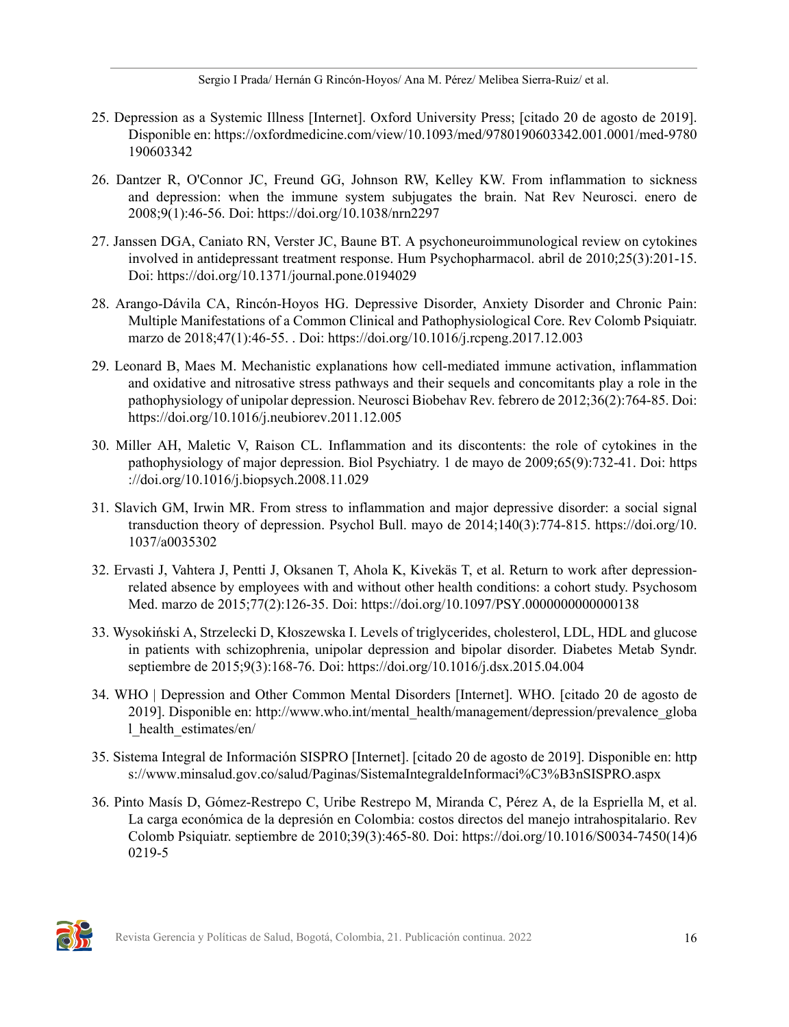Sergio I Prada/ Hernán G Rincón-Hoyos/ Ana M. Pérez/ Melibea Sierra-Ruiz/ et al.

- <span id="page-15-0"></span>25. Depression as a Systemic Illness [Internet]. Oxford University Press; [citado 20 de agosto de 2019]. Disponible en: https://oxfordmedicine.com/view/10.1093/med/9780190603342.001.0001/med-9780 190603342
- <span id="page-15-1"></span>26. Dantzer R, O'Connor JC, Freund GG, Johnson RW, Kelley KW. From inflammation to sickness and depression: when the immune system subjugates the brain. Nat Rev Neurosci. enero de 2008;9(1):46-56. Doi: https://doi.org/10.1038/nrn2297
- 27. Janssen DGA, Caniato RN, Verster JC, Baune BT. A psychoneuroimmunological review on cytokines involved in antidepressant treatment response. Hum Psychopharmacol. abril de 2010;25(3):201-15. Doi: https://doi.org/10.1371/journal.pone.0194029
- 28. Arango-Dávila CA, Rincón-Hoyos HG. Depressive Disorder, Anxiety Disorder and Chronic Pain: Multiple Manifestations of a Common Clinical and Pathophysiological Core. Rev Colomb Psiquiatr. marzo de 2018;47(1):46-55. . Doi: https://doi.org/10.1016/j.rcpeng.2017.12.003
- 29. Leonard B, Maes M. Mechanistic explanations how cell-mediated immune activation, inflammation and oxidative and nitrosative stress pathways and their sequels and concomitants play a role in the pathophysiology of unipolar depression. Neurosci Biobehav Rev. febrero de 2012;36(2):764-85. Doi: https://doi.org/10.1016/j.neubiorev.2011.12.005
- 30. Miller AH, Maletic V, Raison CL. Inflammation and its discontents: the role of cytokines in the pathophysiology of major depression. Biol Psychiatry. 1 de mayo de 2009;65(9):732-41. Doi: https ://doi.org/10.1016/j.biopsych.2008.11.029
- 31. Slavich GM, Irwin MR. From stress to inflammation and major depressive disorder: a social signal transduction theory of depression. Psychol Bull. mayo de 2014;140(3):774-815. https://doi.org/10. 1037/a0035302
- <span id="page-15-2"></span>32. Ervasti J, Vahtera J, Pentti J, Oksanen T, Ahola K, Kivekäs T, et al. Return to work after depressionrelated absence by employees with and without other health conditions: a cohort study. Psychosom Med. marzo de 2015;77(2):126-35. Doi: https://doi.org/10.1097/PSY.0000000000000138
- <span id="page-15-3"></span>33. Wysokiński A, Strzelecki D, Kłoszewska I. Levels of triglycerides, cholesterol, LDL, HDL and glucose in patients with schizophrenia, unipolar depression and bipolar disorder. Diabetes Metab Syndr. septiembre de 2015;9(3):168-76. Doi: https://doi.org/10.1016/j.dsx.2015.04.004
- <span id="page-15-4"></span>34. WHO | Depression and Other Common Mental Disorders [Internet]. WHO. [citado 20 de agosto de 2019]. Disponible en: http://www.who.int/mental\_health/management/depression/prevalence\_globa l\_health\_estimates/en/
- <span id="page-15-5"></span>35. Sistema Integral de Información SISPRO [Internet]. [citado 20 de agosto de 2019]. Disponible en: http s://www.minsalud.gov.co/salud/Paginas/SistemaIntegraldeInformaci%C3%B3nSISPRO.aspx
- <span id="page-15-6"></span>36. Pinto Masís D, Gómez-Restrepo C, Uribe Restrepo M, Miranda C, Pérez A, de la Espriella M, et al. La carga económica de la depresión en Colombia: costos directos del manejo intrahospitalario. Rev Colomb Psiquiatr. septiembre de 2010;39(3):465-80. Doi: https://doi.org/10.1016/S0034-7450(14)6 0219-5